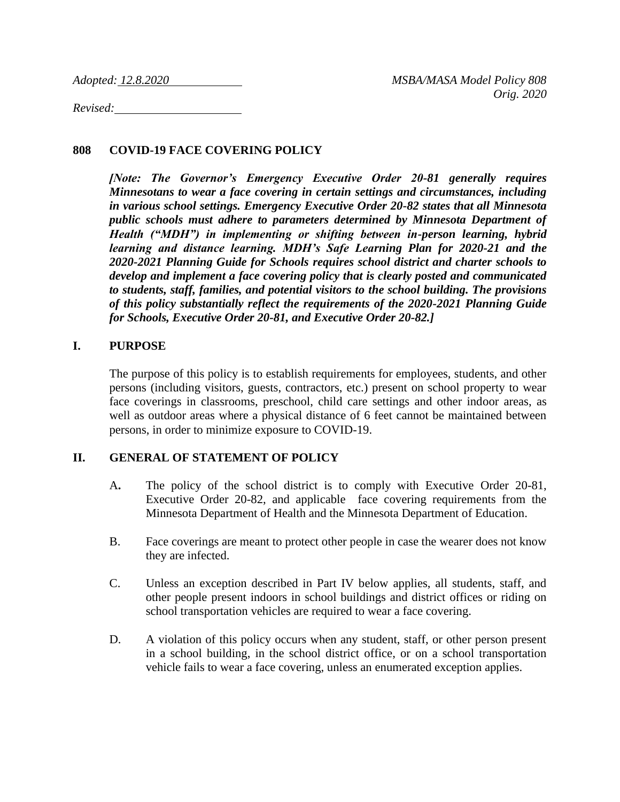*Revised:* 

## **808 COVID-19 FACE COVERING POLICY**

*[Note: The Governor's Emergency Executive Order 20-81 generally requires Minnesotans to wear a face covering in certain settings and circumstances, including in various school settings. Emergency Executive Order 20-82 states that all Minnesota public schools must adhere to parameters determined by Minnesota Department of Health ("MDH") in implementing or shifting between in-person learning, hybrid learning and distance learning. MDH's Safe Learning Plan for 2020-21 and the 2020-2021 Planning Guide for Schools requires school district and charter schools to develop and implement a face covering policy that is clearly posted and communicated to students, staff, families, and potential visitors to the school building. The provisions of this policy substantially reflect the requirements of the 2020-2021 Planning Guide for Schools, Executive Order 20-81, and Executive Order 20-82.]*

### **I. PURPOSE**

The purpose of this policy is to establish requirements for employees, students, and other persons (including visitors, guests, contractors, etc.) present on school property to wear face coverings in classrooms, preschool, child care settings and other indoor areas, as well as outdoor areas where a physical distance of 6 feet cannot be maintained between persons, in order to minimize exposure to COVID-19.

#### **II. GENERAL OF STATEMENT OF POLICY**

- A**.** The policy of the school district is to comply with Executive Order 20-81, Executive Order 20-82, and applicable face covering requirements from the Minnesota Department of Health and the Minnesota Department of Education.
- B. Face coverings are meant to protect other people in case the wearer does not know they are infected.
- C. Unless an exception described in Part IV below applies, all students, staff, and other people present indoors in school buildings and district offices or riding on school transportation vehicles are required to wear a face covering.
- D. A violation of this policy occurs when any student, staff, or other person present in a school building, in the school district office, or on a school transportation vehicle fails to wear a face covering, unless an enumerated exception applies.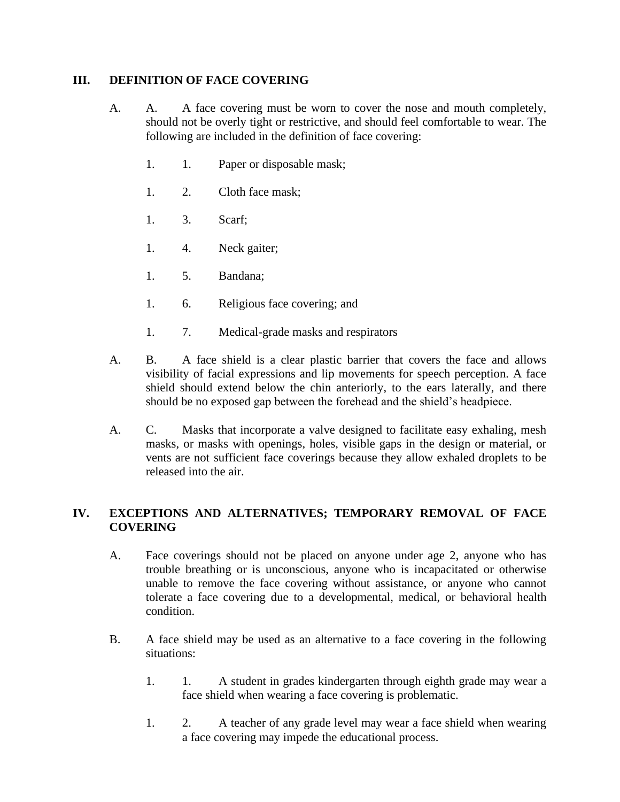### **III. DEFINITION OF FACE COVERING**

- A. A. A face covering must be worn to cover the nose and mouth completely, should not be overly tight or restrictive, and should feel comfortable to wear. The following are included in the definition of face covering:
	- 1. 1. Paper or disposable mask;
	- 1. 2. Cloth face mask;
	- 1. 3. Scarf;
	- 1. 4. Neck gaiter;
	- 1. 5. Bandana;
	- 1. 6. Religious face covering; and
	- 1. 7. Medical-grade masks and respirators
- A. B. A face shield is a clear plastic barrier that covers the face and allows visibility of facial expressions and lip movements for speech perception. A face shield should extend below the chin anteriorly, to the ears laterally, and there should be no exposed gap between the forehead and the shield's headpiece.
- A. C. Masks that incorporate a valve designed to facilitate easy exhaling, mesh masks, or masks with openings, holes, visible gaps in the design or material, or vents are not sufficient face coverings because they allow exhaled droplets to be released into the air.

# **IV. EXCEPTIONS AND ALTERNATIVES; TEMPORARY REMOVAL OF FACE COVERING**

- A. Face coverings should not be placed on anyone under age 2, anyone who has trouble breathing or is unconscious, anyone who is incapacitated or otherwise unable to remove the face covering without assistance, or anyone who cannot tolerate a face covering due to a developmental, medical, or behavioral health condition.
- B. A face shield may be used as an alternative to a face covering in the following situations:
	- 1. 1. A student in grades kindergarten through eighth grade may wear a face shield when wearing a face covering is problematic.
	- 1. 2. A teacher of any grade level may wear a face shield when wearing a face covering may impede the educational process.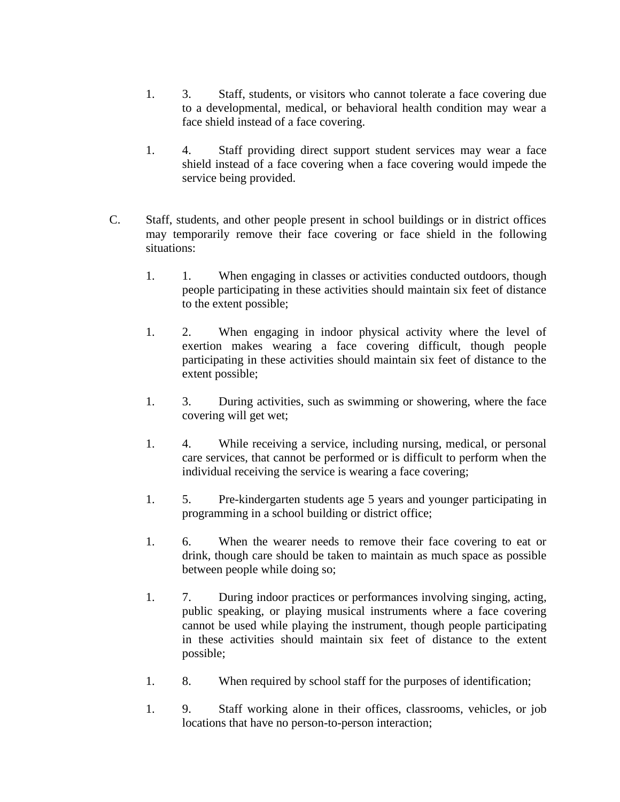- 1. 3. Staff, students, or visitors who cannot tolerate a face covering due to a developmental, medical, or behavioral health condition may wear a face shield instead of a face covering.
- 1. 4. Staff providing direct support student services may wear a face shield instead of a face covering when a face covering would impede the service being provided.
- C. Staff, students, and other people present in school buildings or in district offices may temporarily remove their face covering or face shield in the following situations:
	- 1. 1. When engaging in classes or activities conducted outdoors, though people participating in these activities should maintain six feet of distance to the extent possible;
	- 1. 2. When engaging in indoor physical activity where the level of exertion makes wearing a face covering difficult, though people participating in these activities should maintain six feet of distance to the extent possible;
	- 1. 3. During activities, such as swimming or showering, where the face covering will get wet;
	- 1. 4. While receiving a service, including nursing, medical, or personal care services, that cannot be performed or is difficult to perform when the individual receiving the service is wearing a face covering;
	- 1. 5. Pre-kindergarten students age 5 years and younger participating in programming in a school building or district office;
	- 1. 6. When the wearer needs to remove their face covering to eat or drink, though care should be taken to maintain as much space as possible between people while doing so;
	- 1. 7. During indoor practices or performances involving singing, acting, public speaking, or playing musical instruments where a face covering cannot be used while playing the instrument, though people participating in these activities should maintain six feet of distance to the extent possible;
	- 1. 8. When required by school staff for the purposes of identification;
	- 1. 9. Staff working alone in their offices, classrooms, vehicles, or job locations that have no person-to-person interaction;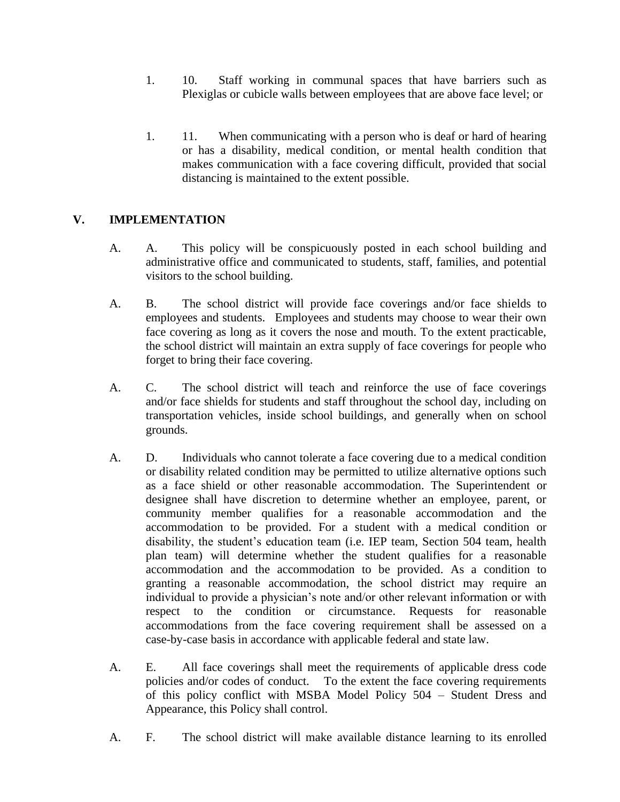- 1. 10. Staff working in communal spaces that have barriers such as Plexiglas or cubicle walls between employees that are above face level; or
- 1. 11. When communicating with a person who is deaf or hard of hearing or has a disability, medical condition, or mental health condition that makes communication with a face covering difficult, provided that social distancing is maintained to the extent possible.

# **V. IMPLEMENTATION**

- A. A. This policy will be conspicuously posted in each school building and administrative office and communicated to students, staff, families, and potential visitors to the school building.
- A. B. The school district will provide face coverings and/or face shields to employees and students. Employees and students may choose to wear their own face covering as long as it covers the nose and mouth. To the extent practicable, the school district will maintain an extra supply of face coverings for people who forget to bring their face covering.
- A. C. The school district will teach and reinforce the use of face coverings and/or face shields for students and staff throughout the school day, including on transportation vehicles, inside school buildings, and generally when on school grounds.
- A. D. Individuals who cannot tolerate a face covering due to a medical condition or disability related condition may be permitted to utilize alternative options such as a face shield or other reasonable accommodation. The Superintendent or designee shall have discretion to determine whether an employee, parent, or community member qualifies for a reasonable accommodation and the accommodation to be provided. For a student with a medical condition or disability, the student's education team (i.e. IEP team, Section 504 team, health plan team) will determine whether the student qualifies for a reasonable accommodation and the accommodation to be provided. As a condition to granting a reasonable accommodation, the school district may require an individual to provide a physician's note and/or other relevant information or with respect to the condition or circumstance. Requests for reasonable accommodations from the face covering requirement shall be assessed on a case-by-case basis in accordance with applicable federal and state law.
- A. E. All face coverings shall meet the requirements of applicable dress code policies and/or codes of conduct. To the extent the face covering requirements of this policy conflict with MSBA Model Policy 504 – Student Dress and Appearance, this Policy shall control.
- A. F. The school district will make available distance learning to its enrolled